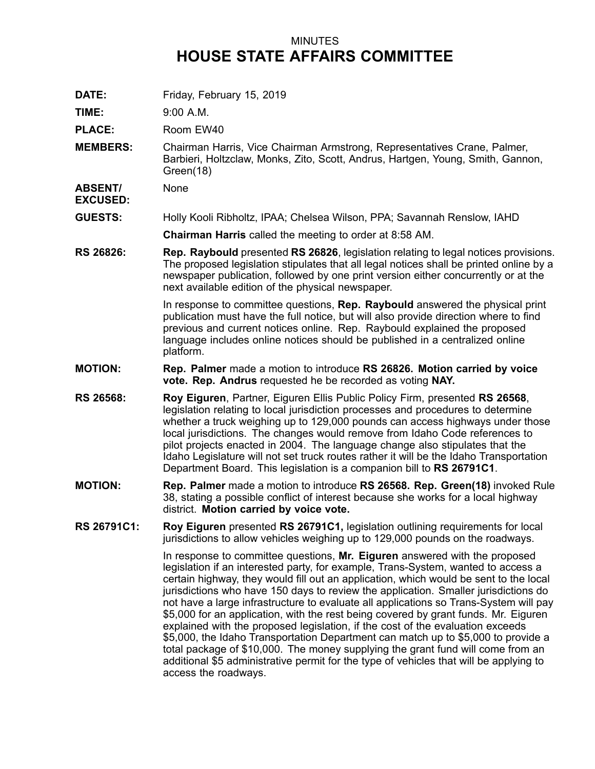## MINUTES **HOUSE STATE AFFAIRS COMMITTEE**

**DATE:** Friday, February 15, 2019

**TIME:** 9:00 A.M.

PLACE: Room EW40

**MEMBERS:** Chairman Harris, Vice Chairman Armstrong, Representatives Crane, Palmer, Barbieri, Holtzclaw, Monks, Zito, Scott, Andrus, Hartgen, Young, Smith, Gannon, Green(18)

**ABSENT/ EXCUSED:** None

**GUESTS:** Holly Kooli Ribholtz, IPAA; Chelsea Wilson, PPA; Savannah Renslow, IAHD

**Chairman Harris** called the meeting to order at 8:58 AM.

**RS 26826: Rep. Raybould** presented **RS 26826**, legislation relating to legal notices provisions. The proposed legislation stipulates that all legal notices shall be printed online by <sup>a</sup> newspaper publication, followed by one print version either concurrently or at the next available edition of the physical newspaper.

> In response to committee questions, **Rep. Raybould** answered the physical print publication must have the full notice, but will also provide direction where to find previous and current notices online. Rep. Raybould explained the proposed language includes online notices should be published in <sup>a</sup> centralized online platform.

- **MOTION: Rep. Palmer** made <sup>a</sup> motion to introduce **RS 26826. Motion carried by voice vote. Rep. Andrus** requested he be recorded as voting **NAY.**
- **RS 26568: Roy Eiguren**, Partner, Eiguren Ellis Public Policy Firm, presented **RS 26568**, legislation relating to local jurisdiction processes and procedures to determine whether <sup>a</sup> truck weighing up to 129,000 pounds can access highways under those local jurisdictions. The changes would remove from Idaho Code references to pilot projects enacted in 2004. The language change also stipulates that the Idaho Legislature will not set truck routes rather it will be the Idaho Transportation Department Board. This legislation is <sup>a</sup> companion bill to **RS 26791C1**.
- **MOTION: Rep. Palmer** made <sup>a</sup> motion to introduce **RS 26568. Rep. Green(18)** invoked Rule 38, stating <sup>a</sup> possible conflict of interest because she works for <sup>a</sup> local highway district. **Motion carried by voice vote.**
- **RS 26791C1: Roy Eiguren** presented **RS 26791C1,** legislation outlining requirements for local jurisdictions to allow vehicles weighing up to 129,000 pounds on the roadways.

In response to committee questions, **Mr. Eiguren** answered with the proposed legislation if an interested party, for example, Trans-System, wanted to access <sup>a</sup> certain highway, they would fill out an application, which would be sent to the local jurisdictions who have 150 days to review the application. Smaller jurisdictions do not have <sup>a</sup> large infrastructure to evaluate all applications so Trans-System will pay \$5,000 for an application, with the rest being covered by grant funds. Mr. Eiguren explained with the proposed legislation, if the cost of the evaluation exceeds \$5,000, the Idaho Transportation Department can match up to \$5,000 to provide <sup>a</sup> total package of \$10,000. The money supplying the grant fund will come from an additional \$5 administrative permit for the type of vehicles that will be applying to access the roadways.